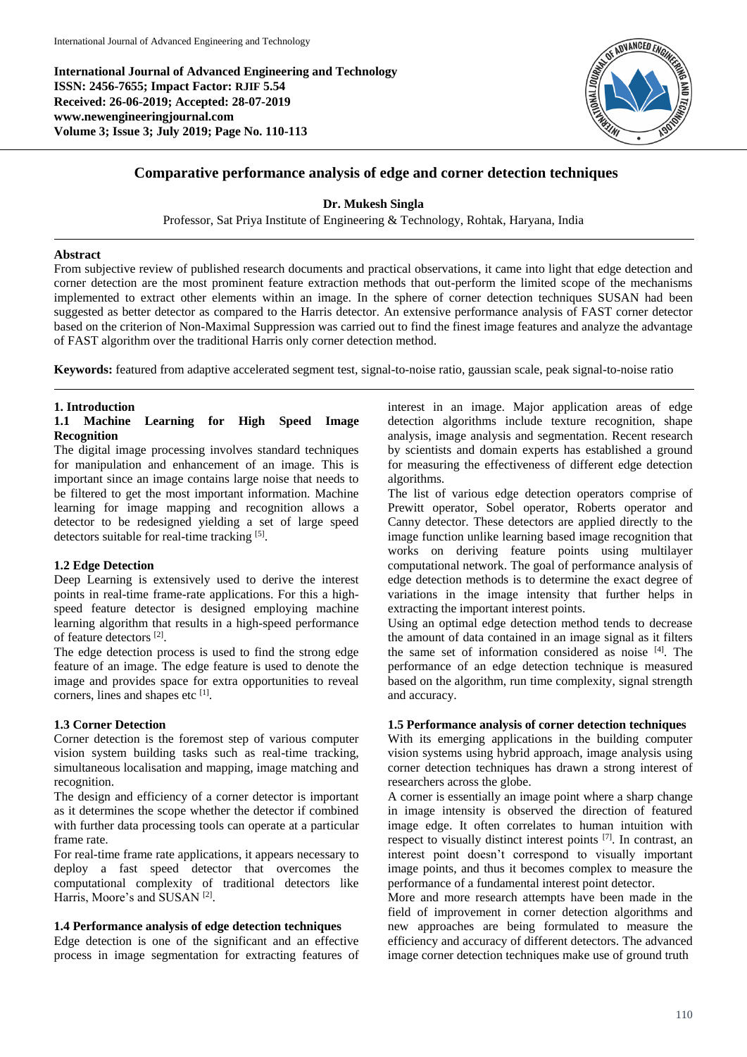**International Journal of Advanced Engineering and Technology ISSN: 2456-7655; Impact Factor: RJIF 5.54 Received: 26-06-2019; Accepted: 28-07-2019 www.newengineeringjournal.com Volume 3; Issue 3; July 2019; Page No. 110-113**



# **Comparative performance analysis of edge and corner detection techniques**

#### **Dr. Mukesh Singla**

Professor, Sat Priya Institute of Engineering & Technology, Rohtak, Haryana, India

#### **Abstract**

From subjective review of published research documents and practical observations, it came into light that edge detection and corner detection are the most prominent feature extraction methods that out-perform the limited scope of the mechanisms implemented to extract other elements within an image. In the sphere of corner detection techniques SUSAN had been suggested as better detector as compared to the Harris detector. An extensive performance analysis of FAST corner detector based on the criterion of Non-Maximal Suppression was carried out to find the finest image features and analyze the advantage of FAST algorithm over the traditional Harris only corner detection method.

**Keywords:** featured from adaptive accelerated segment test, signal-to-noise ratio, gaussian scale, peak signal-to-noise ratio

#### **1. Introduction**

## **1.1 Machine Learning for High Speed Image Recognition**

The digital image processing involves standard techniques for manipulation and enhancement of an image. This is important since an image contains large noise that needs to be filtered to get the most important information. Machine learning for image mapping and recognition allows a detector to be redesigned yielding a set of large speed detectors suitable for real-time tracking [5].

#### **1.2 Edge Detection**

Deep Learning is extensively used to derive the interest points in real-time frame-rate applications. For this a highspeed feature detector is designed employing machine learning algorithm that results in a high-speed performance of feature detectors [2] .

The edge detection process is used to find the strong edge feature of an image. The edge feature is used to denote the image and provides space for extra opportunities to reveal corners, lines and shapes etc [1].

## **1.3 Corner Detection**

Corner detection is the foremost step of various computer vision system building tasks such as real-time tracking, simultaneous localisation and mapping, image matching and recognition.

The design and efficiency of a corner detector is important as it determines the scope whether the detector if combined with further data processing tools can operate at a particular frame rate.

For real-time frame rate applications, it appears necessary to deploy a fast speed detector that overcomes the computational complexity of traditional detectors like Harris, Moore's and SUSAN<sup>[2]</sup>.

#### **1.4 Performance analysis of edge detection techniques**

Edge detection is one of the significant and an effective process in image segmentation for extracting features of

interest in an image. Major application areas of edge detection algorithms include texture recognition, shape analysis, image analysis and segmentation. Recent research by scientists and domain experts has established a ground for measuring the effectiveness of different edge detection algorithms.

The list of various edge detection operators comprise of Prewitt operator, Sobel operator, Roberts operator and Canny detector. These detectors are applied directly to the image function unlike learning based image recognition that works on deriving feature points using multilayer computational network. The goal of performance analysis of edge detection methods is to determine the exact degree of variations in the image intensity that further helps in extracting the important interest points.

Using an optimal edge detection method tends to decrease the amount of data contained in an image signal as it filters the same set of information considered as noise [4] . The performance of an edge detection technique is measured based on the algorithm, run time complexity, signal strength and accuracy.

#### **1.5 Performance analysis of corner detection techniques**

With its emerging applications in the building computer vision systems using hybrid approach, image analysis using corner detection techniques has drawn a strong interest of researchers across the globe.

A corner is essentially an image point where a sharp change in image intensity is observed the direction of featured image edge. It often correlates to human intuition with respect to visually distinct interest points [7]. In contrast, an interest point doesn't correspond to visually important image points, and thus it becomes complex to measure the performance of a fundamental interest point detector.

More and more research attempts have been made in the field of improvement in corner detection algorithms and new approaches are being formulated to measure the efficiency and accuracy of different detectors. The advanced image corner detection techniques make use of ground truth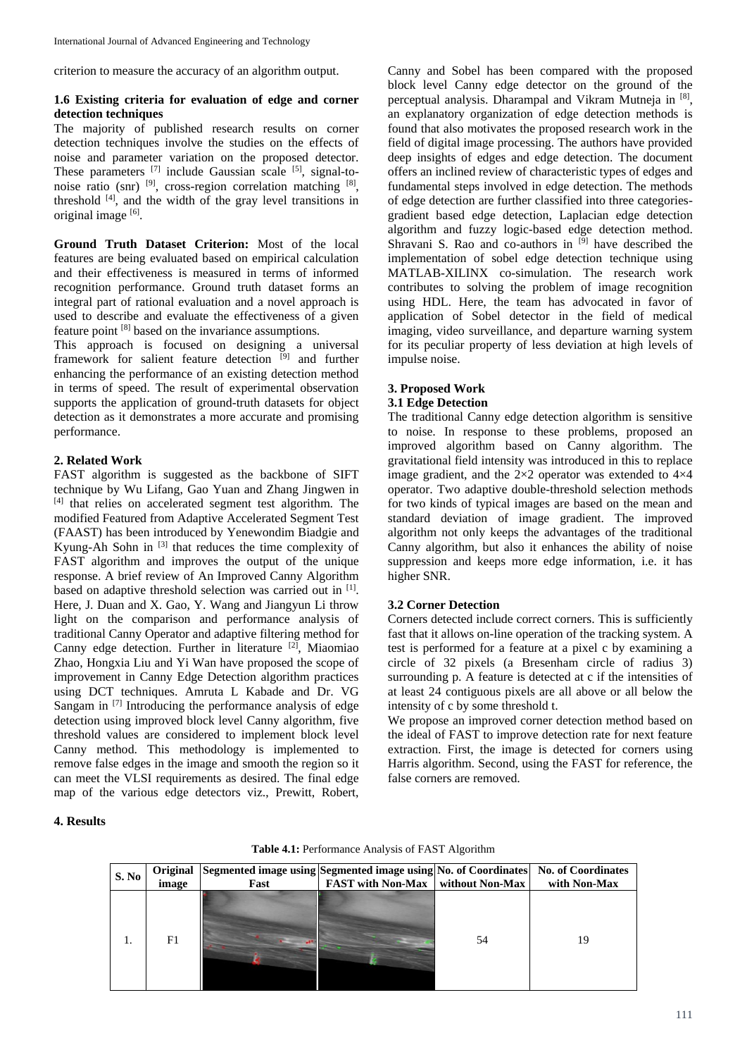criterion to measure the accuracy of an algorithm output.

# **1.6 Existing criteria for evaluation of edge and corner detection techniques**

The majority of published research results on corner detection techniques involve the studies on the effects of noise and parameter variation on the proposed detector. These parameters  $^{[7]}$  include Gaussian scale  $^{[5]}$ , signal-tonoise ratio (snr) <sup>[9]</sup>, cross-region correlation matching <sup>[8]</sup>, threshold  $[4]$ , and the width of the gray level transitions in original image [6].

**Ground Truth Dataset Criterion:** Most of the local features are being evaluated based on empirical calculation and their effectiveness is measured in terms of informed recognition performance. Ground truth dataset forms an integral part of rational evaluation and a novel approach is used to describe and evaluate the effectiveness of a given feature point [8] based on the invariance assumptions.

This approach is focused on designing a universal framework for salient feature detection <sup>[9]</sup> and further enhancing the performance of an existing detection method in terms of speed. The result of experimental observation supports the application of ground-truth datasets for object detection as it demonstrates a more accurate and promising performance.

# **2. Related Work**

FAST algorithm is suggested as the backbone of SIFT technique by Wu Lifang, Gao Yuan and Zhang Jingwen in [4] that relies on accelerated segment test algorithm. The modified Featured from Adaptive Accelerated Segment Test (FAAST) has been introduced by Yenewondim Biadgie and Kyung-Ah Sohn in [3] that reduces the time complexity of FAST algorithm and improves the output of the unique response. A brief review of An Improved Canny Algorithm based on adaptive threshold selection was carried out in [1]. Here, J. Duan and X. Gao, Y. Wang and Jiangyun Li throw light on the comparison and performance analysis of traditional Canny Operator and adaptive filtering method for Canny edge detection. Further in literature [2], Miaomiao Zhao, Hongxia Liu and Yi Wan have proposed the scope of improvement in Canny Edge Detection algorithm practices using DCT techniques. Amruta L Kabade and Dr. VG Sangam in [7] Introducing the performance analysis of edge detection using improved block level Canny algorithm, five threshold values are considered to implement block level Canny method. This methodology is implemented to remove false edges in the image and smooth the region so it can meet the VLSI requirements as desired. The final edge map of the various edge detectors viz., Prewitt, Robert,

Canny and Sobel has been compared with the proposed block level Canny edge detector on the ground of the perceptual analysis. Dharampal and Vikram Mutneja in [8], an explanatory organization of edge detection methods is found that also motivates the proposed research work in the field of digital image processing. The authors have provided deep insights of edges and edge detection. The document offers an inclined review of characteristic types of edges and fundamental steps involved in edge detection. The methods of edge detection are further classified into three categoriesgradient based edge detection, Laplacian edge detection algorithm and fuzzy logic-based edge detection method. Shravani S. Rao and co-authors in  $^{[9]}$  have described the implementation of sobel edge detection technique using MATLAB-XILINX co-simulation. The research work contributes to solving the problem of image recognition using HDL. Here, the team has advocated in favor of application of Sobel detector in the field of medical imaging, video surveillance, and departure warning system for its peculiar property of less deviation at high levels of impulse noise.

# **3. Proposed Work**

## **3.1 Edge Detection**

The traditional Canny edge detection algorithm is sensitive to noise. In response to these problems, proposed an improved algorithm based on Canny algorithm. The gravitational field intensity was introduced in this to replace image gradient, and the  $2\times 2$  operator was extended to  $4\times 4$ operator. Two adaptive double-threshold selection methods for two kinds of typical images are based on the mean and standard deviation of image gradient. The improved algorithm not only keeps the advantages of the traditional Canny algorithm, but also it enhances the ability of noise suppression and keeps more edge information, i.e. it has higher SNR.

## **3.2 Corner Detection**

Corners detected include correct corners. This is sufficiently fast that it allows on-line operation of the tracking system. A test is performed for a feature at a pixel c by examining a circle of 32 pixels (a Bresenham circle of radius 3) surrounding p. A feature is detected at c if the intensities of at least 24 contiguous pixels are all above or all below the intensity of c by some threshold t.

We propose an improved corner detection method based on the ideal of FAST to improve detection rate for next feature extraction. First, the image is detected for corners using Harris algorithm. Second, using the FAST for reference, the false corners are removed.

**4. Results**

| S. No | image | Original Segmented image using Segmented image using No. of Coordinates No. of Coordinates<br>Fast | <b>FAST</b> with Non-Max   without Non-Max |    | with Non-Max |
|-------|-------|----------------------------------------------------------------------------------------------------|--------------------------------------------|----|--------------|
|       | F1    |                                                                                                    |                                            | 54 | 19           |

**Table 4.1:** Performance Analysis of FAST Algorithm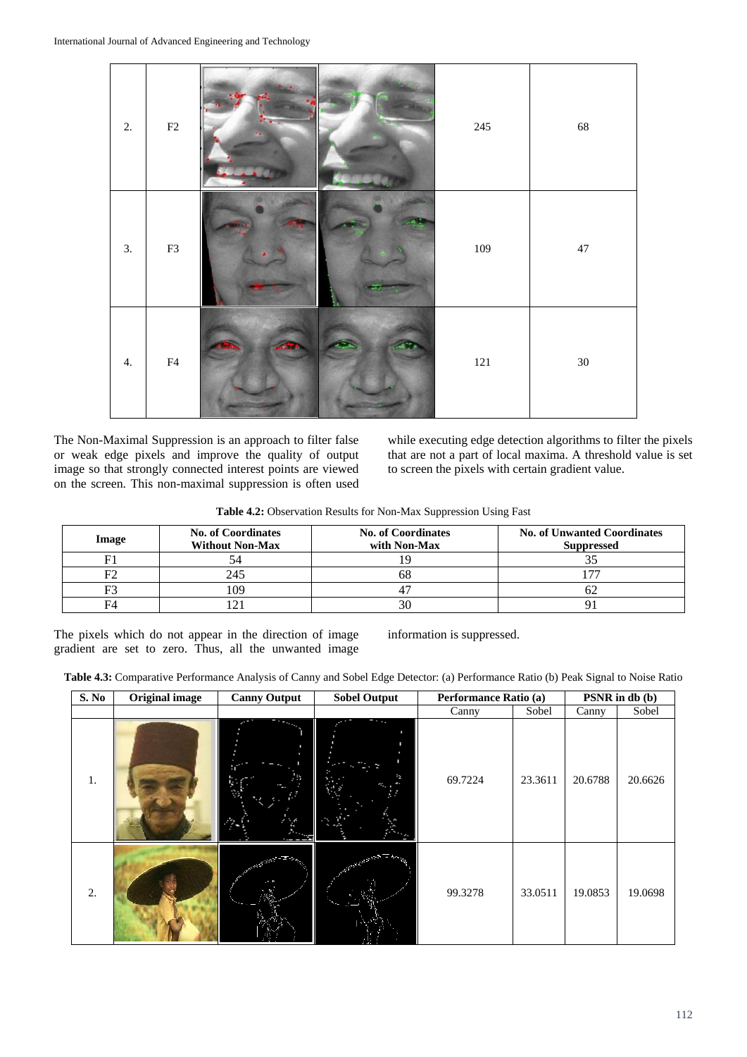| 2. | $\rm F2$ | $245\,$ | 68     |
|----|----------|---------|--------|
| 3. | F3       | 109     | $47\,$ |
| 4. | F4       | $121\,$ | $30\,$ |

The Non-Maximal Suppression is an approach to filter false or weak edge pixels and improve the quality of output image so that strongly connected interest points are viewed on the screen. This non-maximal suppression is often used

while executing edge detection algorithms to filter the pixels that are not a part of local maxima. A threshold value is set to screen the pixels with certain gradient value.

**Table 4.2:** Observation Results for Non-Max Suppression Using Fast

| <b>Image</b> | <b>No. of Coordinates</b><br><b>Without Non-Max</b> | <b>No. of Coordinates</b><br>with Non-Max | <b>No. of Unwanted Coordinates</b><br><b>Suppressed</b> |
|--------------|-----------------------------------------------------|-------------------------------------------|---------------------------------------------------------|
|              |                                                     |                                           |                                                         |
| F٦           | 245                                                 | nā                                        |                                                         |
| F3           | 109                                                 |                                           |                                                         |
| F4           |                                                     |                                           |                                                         |

The pixels which do not appear in the direction of image gradient are set to zero. Thus, all the unwanted image

information is suppressed.

|  |  |  | Table 4.3: Comparative Performance Analysis of Canny and Sobel Edge Detector: (a) Performance Ratio (b) Peak Signal to Noise Ratio |
|--|--|--|------------------------------------------------------------------------------------------------------------------------------------|
|  |  |  |                                                                                                                                    |

| S. No | <b>Original image</b> | <b>Canny Output</b> | <b>Sobel Output</b> | Performance Ratio (a) |         | $PSNR$ in db (b) |         |
|-------|-----------------------|---------------------|---------------------|-----------------------|---------|------------------|---------|
|       |                       |                     |                     | Canny                 | Sobel   | Canny            | Sobel   |
| 1.    |                       |                     | $\cdot$ .           | 69.7224               | 23.3611 | 20.6788          | 20.6626 |
| 2.    |                       |                     | <b>Section 2000</b> | 99.3278               | 33.0511 | 19.0853          | 19.0698 |